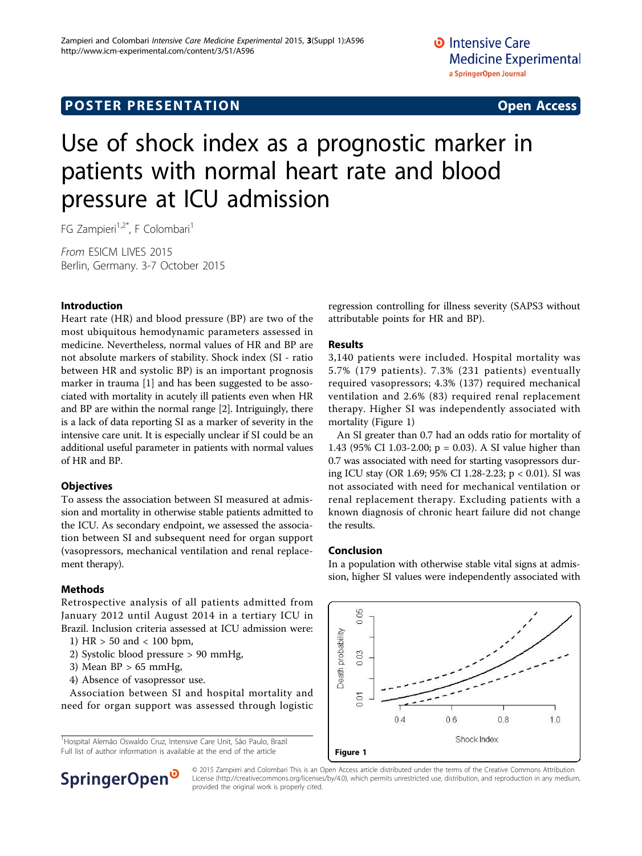# **POSTER PRESENTATION CONSUMING ACCESS**

# Use of shock index as a prognostic marker in patients with normal heart rate and blood pressure at ICU admission

FG Zampieri<sup>1,2\*</sup>, F Colombari<sup>1</sup>

From ESICM LIVES 2015 Berlin, Germany. 3-7 October 2015

## Introduction

Heart rate (HR) and blood pressure (BP) are two of the most ubiquitous hemodynamic parameters assessed in medicine. Nevertheless, normal values of HR and BP are not absolute markers of stability. Shock index (SI - ratio between HR and systolic BP) is an important prognosis marker in trauma [\[1](#page-1-0)] and has been suggested to be associated with mortality in acutely ill patients even when HR and BP are within the normal range [[2\]](#page-1-0). Intriguingly, there is a lack of data reporting SI as a marker of severity in the intensive care unit. It is especially unclear if SI could be an additional useful parameter in patients with normal values of HR and BP.

### **Objectives**

To assess the association between SI measured at admission and mortality in otherwise stable patients admitted to the ICU. As secondary endpoint, we assessed the association between SI and subsequent need for organ support (vasopressors, mechanical ventilation and renal replacement therapy).

# Methods

Retrospective analysis of all patients admitted from January 2012 until August 2014 in a tertiary ICU in Brazil. Inclusion criteria assessed at ICU admission were:

- 1) HR > 50 and < 100 bpm,
- 2) Systolic blood pressure > 90 mmHg,
- 3) Mean  $BP > 65$  mmHg,
- 4) Absence of vasopressor use.

Association between SI and hospital mortality and need for organ support was assessed through logistic

<sup>1</sup>Hospital Alemão Oswaldo Cruz, Intensive Care Unit, São Paulo, Brazil Full list of author information is available at the end of the article **Figure 1** 



### Results

3,140 patients were included. Hospital mortality was 5.7% (179 patients). 7.3% (231 patients) eventually required vasopressors; 4.3% (137) required mechanical ventilation and 2.6% (83) required renal replacement therapy. Higher SI was independently associated with mortality (Figure 1)

An SI greater than 0.7 had an odds ratio for mortality of 1.43 (95% CI 1.03-2.00; p = 0.03). A SI value higher than 0.7 was associated with need for starting vasopressors during ICU stay (OR 1.69; 95% CI 1.28-2.23; p < 0.01). SI was not associated with need for mechanical ventilation or renal replacement therapy. Excluding patients with a known diagnosis of chronic heart failure did not change the results.

### Conclusion

In a population with otherwise stable vital signs at admission, higher SI values were independently associated with





© 2015 Zampieri and Colombari This is an Open Access article distributed under the terms of the Creative Commons Attribution License [\(http://creativecommons.org/licenses/by/4.0](http://creativecommons.org/licenses/by/4.0)), which permits unrestricted use, distribution, and reproduction in any medium, provided the original work is properly cited.